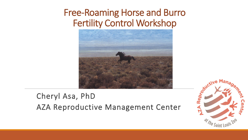## Free-Roaming Horse and Burro Fertility Control Workshop



## Cheryl Asa, PhD AZA Reproductive Management Center

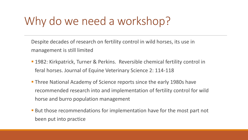## Why do we need a workshop?

Despite decades of research on fertility control in wild horses, its use in management is still limited

- **1982: Kirkpatrick, Turner & Perkins. Reversible chemical fertility control in** feral horses. Journal of Equine Veterinary Science 2: 114-118
- **Three National Academy of Science reports since the early 1980s have** recommended research into and implementation of fertility control for wild horse and burro population management
- **But those recommendations for implementation have for the most part not** been put into practice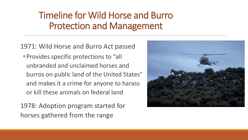## Timeline for Wild Horse and Burro Protection and Management

1971: Wild Horse and Burro Act passed

**Provides specific protections to "all"** unbranded and unclaimed horses and burros on public land of the United States" and makes it a crime for anyone to harass or kill these animals on federal land

1978: Adoption program started for horses gathered from the range

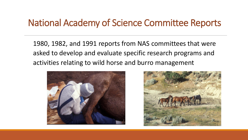## National Academy of Science Committee Reports

1980, 1982, and 1991 reports from NAS committees that were asked to develop and evaluate specific research programs and activities relating to wild horse and burro management



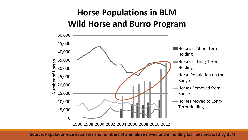## **Horse Populations in BLM Wild Horse and Burro Program**



Source: Population-size estimates and numbers of animals removed and in holding facilities provided by BLM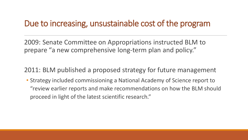#### Due to increasing, unsustainable cost of the program

2009: Senate Committee on Appropriations instructed BLM to prepare "a new comprehensive long-term plan and policy."

2011: BLM published a proposed strategy for future management

• Strategy included commissioning a National Academy of Science report to "review earlier reports and make recommendations on how the BLM should proceed in light of the latest scientific research."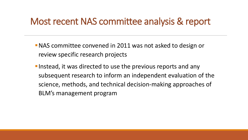## Most recent NAS committee analysis & report

- **NAS committee convened in 2011 was not asked to design or** review specific research projects
- **Instead, it was directed to use the previous reports and any** subsequent research to inform an independent evaluation of the science, methods, and technical decision-making approaches of BLM's management program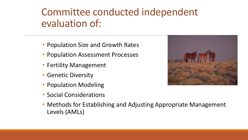## Committee conducted independent evaluation of:

- Population Size and Growth Rates
- Population Assessment Processes
- Fertility Management
- Genetic Diversity
- Population Modeling
- Social Considerations



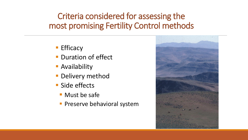## Criteria considered for assessing the most promising Fertility Control methods

- **Efficacy**
- **Duration of effect**
- **E** Availability
- **Delivery method**
- Side effects
	- Must be safe
	- **· Preserve behavioral system**

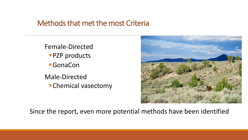#### Methods that met the most Criteria

Female-Directed **PZP** products ■GonaCon Male-Directed **•Chemical vasectomy** 



Since the report, even more potential methods have been identified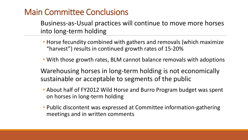# Main Committee Conclusions

Business-as-Usual practices will continue to move more horses into long-term holding

- Horse fecundity combined with gathers and removals (which maximize "harvest") results in continued growth rates of 15-20%
- With those growth rates, BLM cannot balance removals with adoptions

Warehousing horses in long-term holding is not economically sustainable or acceptable to segments of the public

- About half of FY2012 Wild Horse and Burro Program budget was spent on horses in long-term holding
- Public discontent was expressed at Committee information-gathering meetings and in written comments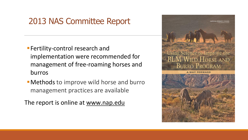#### 2013 NAS Committee Report

- **Fertility-control research and** implementation were recommended for management of free-roaming horses and burros
- **Methods to improve wild horse and burro** management practices are available

The report is online at [www.nap.edu](http://www.nap.edu/)

Using Science to Improve the **BLM WILD HORSE AND BURRO PROGRAM**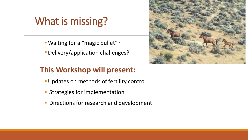## What is missing?

- ▪Waiting for a "magic bullet"?
- **Delivery/application challenges?**

#### **This Workshop will present:**

- **Updates on methods of fertility control**
- **EXTENDING IS STATE STATE STATE IS STATE**
- **Directions for research and development**